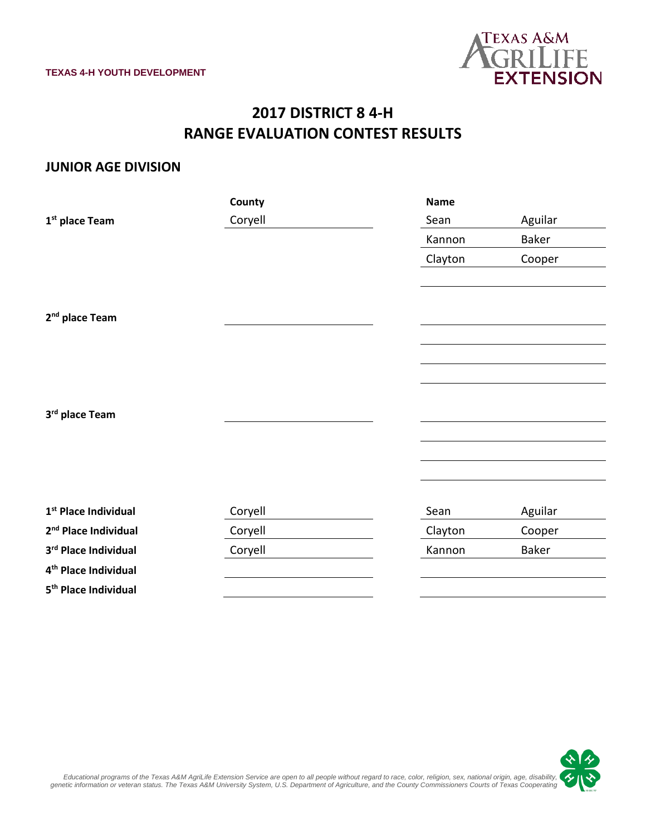

# **2017 DISTRICT 8 4-H RANGE EVALUATION CONTEST RESULTS**

#### **JUNIOR AGE DIVISION**

|                                  | County  | <b>Name</b> |         |
|----------------------------------|---------|-------------|---------|
| 1 <sup>st</sup> place Team       | Coryell | Sean        | Aguilar |
|                                  |         | Kannon      | Baker   |
|                                  |         | Clayton     | Cooper  |
|                                  |         |             |         |
|                                  |         |             |         |
| 2 <sup>nd</sup> place Team       |         |             |         |
|                                  |         |             |         |
|                                  |         |             |         |
|                                  |         |             |         |
|                                  |         |             |         |
| 3rd place Team                   |         |             |         |
|                                  |         |             |         |
|                                  |         |             |         |
|                                  |         |             |         |
|                                  |         |             |         |
| 1 <sup>st</sup> Place Individual | Coryell | Sean        | Aguilar |
| 2 <sup>nd</sup> Place Individual | Coryell | Clayton     | Cooper  |
| 3rd Place Individual             | Coryell | Kannon      | Baker   |
| 4 <sup>th</sup> Place Individual |         |             |         |
| 5 <sup>th</sup> Place Individual |         |             |         |

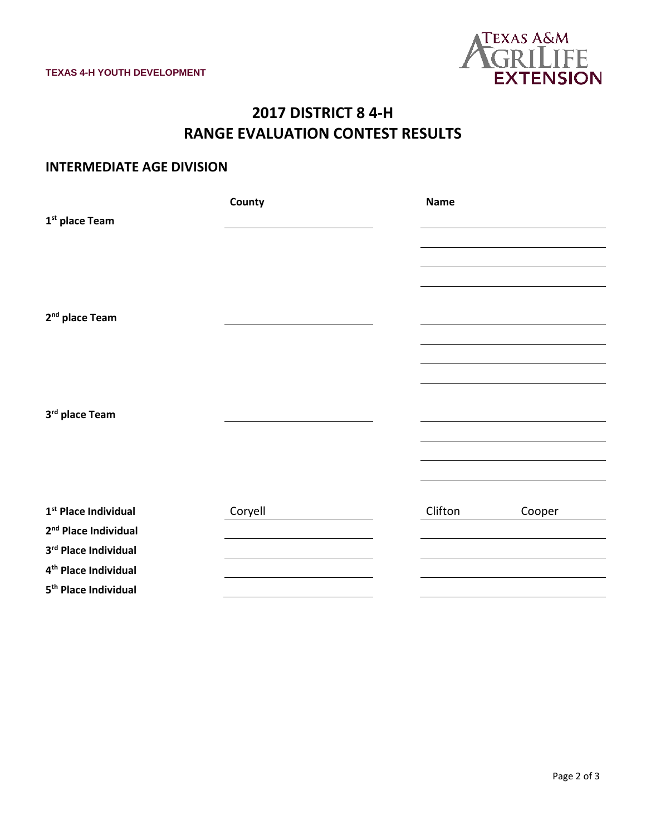

# **2017 DISTRICT 8 4-H RANGE EVALUATION CONTEST RESULTS**

### **INTERMEDIATE AGE DIVISION**

|                                  | County  | <b>Name</b>       |
|----------------------------------|---------|-------------------|
| 1 <sup>st</sup> place Team       |         |                   |
|                                  |         |                   |
|                                  |         |                   |
|                                  |         |                   |
|                                  |         |                   |
| 2 <sup>nd</sup> place Team       |         |                   |
|                                  |         |                   |
|                                  |         |                   |
|                                  |         |                   |
|                                  |         |                   |
| 3rd place Team                   |         |                   |
|                                  |         |                   |
|                                  |         |                   |
|                                  |         |                   |
|                                  |         |                   |
| 1 <sup>st</sup> Place Individual | Coryell | Clifton<br>Cooper |
| 2 <sup>nd</sup> Place Individual |         |                   |
| 3rd Place Individual             |         |                   |
| 4 <sup>th</sup> Place Individual |         |                   |
| 5 <sup>th</sup> Place Individual |         |                   |